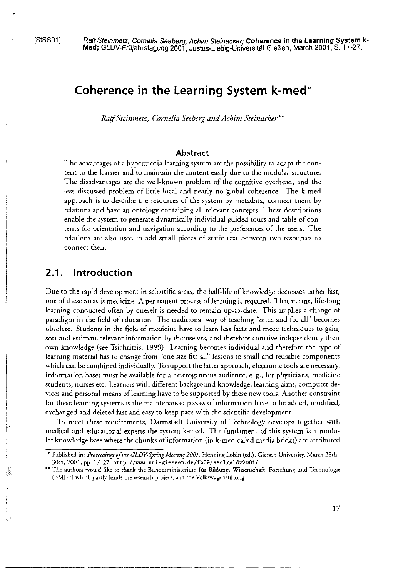# **Coherence in the Learning System k-med\***

*Ralf Steinmetz, Cornelia Seeberg und Achim Steinacker* \*\*

### **Abstract**

The advantages of a hypermedia learning system are the possibility to adapt the content to the learner and to mainrain the content easily due to the modular structure. The disadvantages are the well-known problem of the cognitive overhead, and the less discussed problem of little local and nearly no global coherence. The k-med approach is to describe the resources of the system by metadata, connect them by relations and have an ontology containing all relevant concepts. These descriptions enable the systern to generate dynamically individual guided tours and table of contents for orientation and navigation according to the preferences of the users. The relations are also used to add small pieces of static text between two resources to connect them.

## **2.1. lntroduction**

Due to the rapid developrnent in scientific areas, the half-life of knowledge decreases rather fast, one of these areas is medicine. **A** permanent process of learning is required. That means, life-long learning conducted oken by oneself is needed to rernain up-ro-date. This implies a change of paradigm in the field of education. The traditional way of teaching "once and for all" becomes obsolete. Students in rhe field of medicine have to learn less facts and more techniques to gain, sort and estimate relevant information by themselves, and therefore contrive independently their own knowledge (see Tsichritzis, 1999). Learning becomes individual and therefore the type of learning material has to change from "one size fits all" lessons to small and reusable components which can be combined individually. To support the latter approach, electronic tools are necessary. Information bases rnust be available for a heterogeneous audience, e.g., for physicians, rnedicine students, nurses etc. Learners with different background knowledge, learning aims, Computer devices and personal means of learning have to besupported by rhese new tools. Another constraint for these learning systems is the maintenance: pieces of information have to be added, modified, exchanged and deleted fast and easy to keep pace with the scientific development.

TO rneet these requirements, Darmstadt University of Technology develops together with medical and educational experts the system k-med. The fundament of this system is a modular knowledge basewhere the chunks of inforrnation (in k-med cailed media bricks) are attributed

<sup>\*</sup> Published in: Proceedings of the GLDV-Spring Meeting 2001, Henning Lobin (ed.), Giessen University, March 28th-**30rh,2001,pp. 17-27.http://vvv.uni-giessen.de/fb09/ascl/gldv2001/** 

<sup>&</sup>quot; **The aurhors would like ro rhank rhe Bunderrninisteriurn für Bildung, Wirrenschah, Forschung und Technologie (BMBF) which parrly funds rhe researdi projecr, and rhe Volkswagcnstiftung.**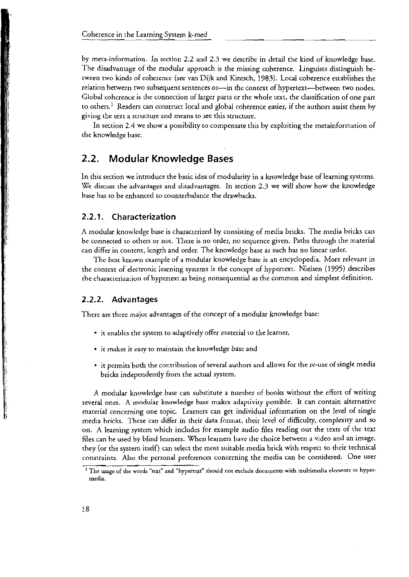by meta-information. In section **2.2** arid **2.3** we describe in detail the kind of knowledge base. The disadvantage of the modular approach is the missing coherence. Linguists distinguish between two kinds of coherence (see van Dijk and Kintsch, 1983). Local coherence establishes the relation between two subsequent sentences or--in the context of hypertext--between two nodes. Global coherence is ihe connection of larger parts or the whole rext, the classification of one part to others.<sup>1</sup> Readers can construct local and global coherence easier, if the authors assist them by giving the text a srructure and means to see this structure.

In section 2.4 we show a possibility to compensate this by exploiting the metainformation of the knowledge base.

## **2.2. Modular Knowledge Bases**

In this section we introduce the basic idea of modularity in a knowledge base of learning systems. We discuss the advantages and disadvantages. In section 2.3 we will show how the knowledge base has to be enhanced to counterbalance the drawbacks.

### **2.2.1. Characterization**

A modular knowledge base is characrerized by consisting of media bricks. The media bricks can be connected to others or not. Tliere is no order, no sequence given. Paths through the material can differ in contenr, length and order. The knowledge base as such has no linear order.

The best known example of a modular knowledge base is an encyclopedia. More relevant in the context of electronic learning systems is the concept of hyperrexr. Nielsen (1995) describes the characterization of hypertext as being nonsequential as the common and simplest definition.

### **2.2.2. Advantages**

Thcre are three major advanrages of the concept of a modular knowledge base:

- it enables the system to adaptively offer material to the learner,
- it makes it easy to maintain rhe kriowledge base and
- . it permits both the contribution of several authors and allows for the re-use of single media bricks independently from the actual system.

A modular knowledge base can substitute a number of books without the effort of writing several ones. A modular knowledge base makcs adaprivity possible. It can contain alternative material concerning one topic. Learners can get individual information on the level of single media bricks. These can differ in their data format, their level of difficulty, complexity and so On. A learning system which includes for example audio files reading out the rexts of rhe text files can be used by blind learners. When learners have the choice between a video and an image, they (or the system itself) can select the most suitable media brick with respecr to their technical constraints. Also the personal preferences concerning the media can be considered. One user

<sup>&#</sup>x27; The **wage** of rhe **words** "rext" **and** "hyperrext" should nor **cxclude** documenrs **with rnulrirnedia eleinenrs or** hyper**media.**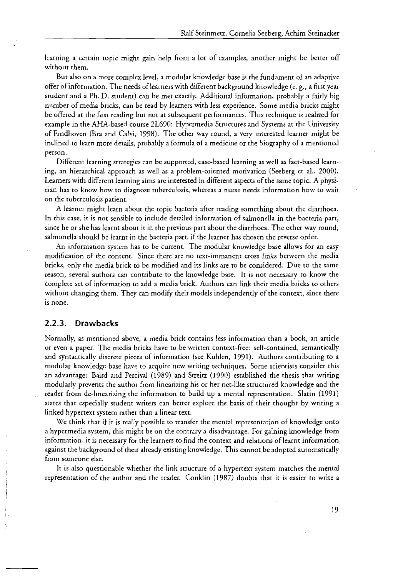learning a certain topic might gain help from a lot of examples, another might be better off without them.

But also on a more complex level, a modular knowledge base is the fundament of an adaptive offer of inforrnation. The needs of learners with different background knowledge (e. g., a first year student and a Ph. D. student) can be rner exactly. Additional inforrnation, probably a fairly big number of media bricks, can be read by learners with less experience. Some media bricks might be offered at the first reading but not at subsequent performances. This technique is realized for exarnple in the AHA-based Course 21690: Hyperrnedia Structures and Sysrerns at rhe Universiry of Eindhoven (Bra and Calvi, 1998). The orher way round, a very interesred learner rnighr be inclined to learn more details, probably a formula of a medicine or the biography of a mentioned person.

Different learning strategies can be supported, case-based learning as well as fact-based learning, an hierarchical approach as well as a problem-oriented motivation (Seeberg et al., 2000). Learners with different learning aims are interested in different aspects of the same topic. A physician has to know how to diagnose tuberculosis, whereas a nurse needs inforrnarion how to wait on the tuberculosis patient.

A learner might learn about the topic bacteria after reading something about the diarrhoea. In this case, ir is not sensible to include derailed inforrnation of salrnonella in the bacteria part, since he or she has learnt about it in the previous part about the diarrhoea. The orher way round, salmonella should be learnt in the bacteria part, if the learner has chosen the reverse order.

An information system has to be current. The modular knowledge base allows for an easy modification of the content. Since there are no text-immanent cross links between the media bricks, only rhe rnedia brick to be rnodified and its links are to be considered. Due to the sarne reason, sweral authors can contribute to the knowledge base. It is not necessary to know the complete set of information to add a media brick. Authors can link their media bricks to others without changing them. They can modify their models independently of the context, since there is none.

## **2.2.3. Drawbacks**

I

Normally, as rnentioned above, a rnedia brick contains less inforrnation than a book, an article or even a paper. The media bricks have to be written context-free: self-contained, semantically and syntactically discrete pieces of inforrnation (See Kuhlen, 1991). Authors contributing ro a modular knowledge base have to acquire new writing techniques. Sorne scienrists consider this an advantage: Baird and Percival (1989) and Streitz (1990) established the thesis that writing rnodularly prevents the author frorn linearizing his or her net-like structured knowledge and the reader from de-linearizing the information to build up a mental representation. Slatin (1991) states that especially student writers can better explore the basis of their thought by writing a linked hypertext system rathet than a linear text.

We think that if it is really possible to transfer the mental representation of knowledge onto a hypermedia system, this might be on the contrary a disadvantage. For gaining knowledge from information, it is necessary for the learners to find rhe contexr and relations of learnt inforrnation against the background of thcir already existing knowledge. This cannot be adopted autornatically frorn sorneone else.

It is also questionable whether the link structure of a hypertext system matches the mental representarion of the author and the reader. Conklin (1987) doubts that it is easier to write a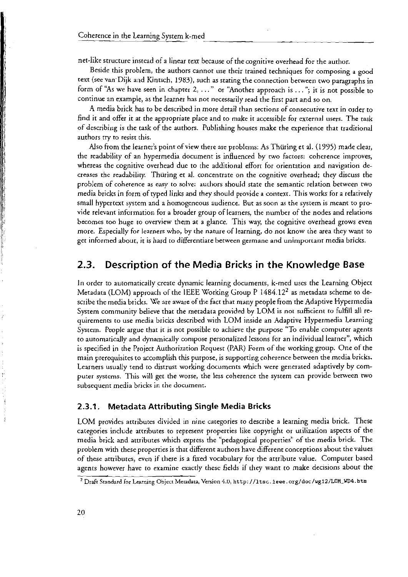net-like structure instead of a linear text because of the cognitive overhead for the author.

Beside this problem, the authors cannot use their trained techniques for composing a good text (see van Dijk and Kintsch, 1983), such as stating the connection between wo paragraphs in form of "As we have seen in chapter  $2, \ldots$ " or "Another approach is  $\ldots$ "; it is not possible to continue an exarnple, as the learner has not necessarily read rhe firsr part and so on.

.4 rnedia brick has to be described in rnore detail than sections of consecutive text in order to find it and offer it at the appropriate place and to make it accessible for external users. The task of describing is rhe task of the authors. Publishing houses rnake the experience that traditional authors rry to resist this.

Also frorn the learner's point of view there are problenis: As Thüring et **al.** (1995) rnade clear, the readability of an hyperrnedia docurnent is influenced by wo factors: cohcrence iniproves, whereas the cognitive overhead due to rhe addirional efforr for orientation and navigarion decreases the readability. Thuring et al. concentrate on the cognitive overhead; they discuss the problem of coherence as easy to solve: authors should state the semantic relation between two rnedia bricks in form of typed links and they should provide a context. This works for a relatively small hypertext system and a homogeneous audience. But as soon as the system is meant to provide relevant inforrnation for a broader group of learners, the nurnber of the nodes and relations becornes too huge to overview thern at a glance. This way, rhe cognitive overhead grows even rnore. Especially for learners who, by rhe nature of learning, da nor know rhe area rhey want to get informed about, it is hard to differentiate between germane and unimportant media bricks.

## **2.3. Description of the Media Bricks in the Knowledge Base**

In order to automatically create dynamic learning documents, k-med uses the Learning Object Metadata (LOM) approach of the IEEE Working Group P 1484.12<sup>2</sup> as metadata scheme to describe the rnedia bricks. **Wk** are aware of the facr thar rnaiiy people frorn the Adaptive Hyperrnedia System community believe that the metadata provided by LOM is not sufficient to fulfill all requirernenrs to use rnedia bricks described with LOM inside an Adaptive Hypermedia Learning System. People argue that it is not possible to achieve the purpose "To enable computer agents to automatically and dynamically compose personalized lessons for an individual learner", which is specified in the Project Auchorizarion Request (PAR) Form of the working group. One of rhe rnain prerequisires ro accornplish this purpose, is supporring coherence beween rhe rncdia bricks. Learners usually tend to distrust working documents which were generated adaptively by compurer systcrns. This will ger the worse, rhe less coherence rhe systern can provide between two subsequent media bricks in the document.

## **2.3.1. Metadata Attributing Single Media Bricks**

LOM provides attributes divided in nine categories to describe a learning media brick. These categories indude attributes to represent properties like copyright or utilizarion aspects of the rnedia brick and atrribures which express the "pedagogicd properties" of the rnedia brick. The problem with these properties is that different authors have different conceptions about the values of these artributcs, wen if there is a fixed vocabulary for the attribute value. Computer based agents however have to examine exactly these fields if they want to make decisions about the

<sup>&#</sup>x27; DraFt **Srandard for Learning** Objecr **Meradata,** Version **4.V, http://ltcc. ieee.arg/doc/wgl2/LOM\_UD4.btm**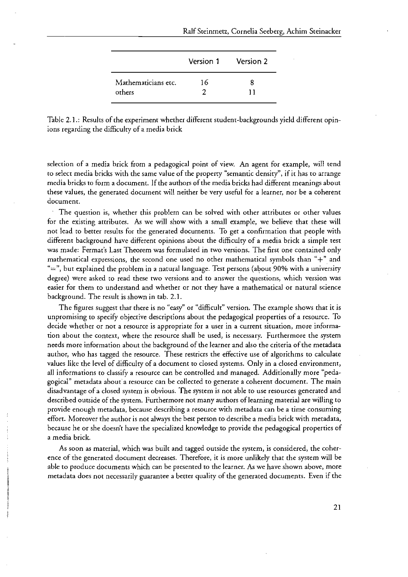|                     | Version 1 | Version 2 |
|---------------------|-----------|-----------|
| Mathematicians etc. | 16        |           |
| others              |           |           |

Table 2.1.: Results of the experiment whether different student-backgrounds yield different opinions regarding the difficulry of a rnedia brick

selection of a media brick from a pedagogical point of view. An agent for example, will tend to select rnedia bricks with the sarne value of the properry "sernantic densiry", if it has to arrange media bricks to form a document. If the authors of the media bricks had different meanings about these values, the generated docurnent will neither be very useful for a learner, nor be a coherent document.

The question is, whether this problern can be solved with other attributes or other values for the exisring attributes. **As** we will show with a srnall example, we believe that these will not lead ro better results for the generated docurnents. To ger a confirrnation that people with different background have different opinions about the difficulty of a media brick a simple test was rnade: Ferrnar's Last Theorem was forrnulared in two versions. The first one contained only mathematical expressions, the second one used no other mathematical symbols than " $+$ " and " $\equiv$ ", but explained the problem in a natural language. Test persons (about 90% with a university degree) were asked ro read these two versions and to answer the questions, which version was easier for them to understand and whether or not they have a mathematical or natural science background. The resulr is shown in tab. 2.1.

The figures suggest thar there is no "easy" or "difficult" version. The example shows that it is unpromising to specify objective descriptions about the pedagogical properties of a resource. To decide whether or not a resource is appropriate for a user in a current situation, more information about the context, where the resource shall be used, is necessary. Furthermore the system needs more information about the background of the learner and also the criteria of the metadata author, who has tagged the resource. These restricrs the effecrive use of algorithrns to calculate values like the level of difficulty of a document to closed systems. Only in a closed environment, all informations to classify a resource can be controlled and managed. Additionally more "pedagogical" metadata about a resource can be collected to generate a coherent document. The main disadvantage of a closed systern is obvious. The systern is not able ro use resources generated and described outside of the system. Furthermore not many authors of learning material are willing to provide enough metadata, because describing a resource with metadata can be a time consuming effort. Moreover the author is not always the best person to describe a media brick with metadata, because he or she doesn't have the specialized knowledge to provide the pedagogical properties of a media brick.

As soon as material, which was built and cagged outside the systern, is considered, the coherence of the generated docurnent decreases. Therefore, it is rnore unlikely thar the systern will be able to produce documents which can be presented to the learner. As we have shown above, more rnetadata does not necessarily guaranree a better qualiry of the generated docurnents. Even if the

21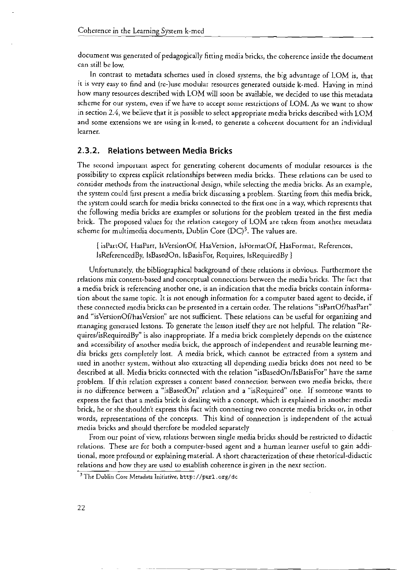document was generared of pedagogically fitring media bricks, the coherence inside the document can still bc low.

In contrast to metadata schemes used in closed Systems, the big advantage of LOM is, that it is very easy to find and (re-)use modular resources generared outside k-med. Having in mind how many resources described with LOM will soon be available, we decided to use this metadata scheme for our system, even if we have to accept some restrictions of LOM. As we want to show in section 2.4, we believe that it is possible to select appropriate media bricks described with LOM and some extensions we are using in k-med, to generate a coherent document for an individual learner.

## **2.3.2. Relations between Media Bricks**

The sccond importani aspect for generating coherent documents of modular resources is the possibility to express explicit relationships between media bricks. These relations can be used to consider methods from the instructional design, while selecting the media bricks. As an example, the system could first present a media brick discussing a problem. Starting from this media brick, the system could search for media bricks connected to the first one in a way, which represents that the following media bricks are examples or solutions for the problem treated in the first media brick. The proposed values for the relation category of LOM are taken from another metadata scheme for multimedia documents, Dublin Core  $(DC)^3$ . The values are.

I isPartOl, HasPart, IsVersionOf, HasVersion, IsFormatOf, HasForrnat, References, IsReferencedBy, IsBasedOn, IsBasisFor, Requires, IsRequiredBy )

Unfortunately, the bibliographical background of these relations is obvious. Furthermore the relations mix content-based and conceptual connections between the media bricks. The fact that a media brick is referencing another one, is an indication that the media bricks contain information about the same topic. It is not enough information for a computer based agent to decide, if these connected media bricks can be presented in a certain order. The relations "isPartOf/hasPart" and **"isVersionOf/hasVersion"** are not sufficient. These relations can be useful for organizing and managing generated lessons. To generate the lesson itself they are not helpful. The relation "Requires/isRequiredBy" is also inappropriate. If a media brick completely depends on the existence and accessibility of another media brick, the approach of independent and reusable learning media bricks gets complerely lost. A media brick, which cannot be extracted from a system and used in another system, without also extracting all depending media bricks does not need to be described at all. Media bricks connected with the relation "isBasedOn/IsBasisFor" have the same problem. If this relation expresses a content based connection between two media bricks, there is no difference benveen a "isBasedOn" relation and a "isRequired" one. If someone wants to express the fact that a media brick **is** dealing with a concept, which is explained in another media brick, he or she shouldn't express this fact with connecting two concrete media bricks or, in other words, representations of the concepts. This kind of connection is independent of rhe actual media bricks and should therefore be modeled separately

From our point of view, relations between single media bricks should be restricted to didactic relations. These are for both a computer-based agent and a human learner useful to gain additional, more profound or explaining material. A short characterization of these rhetorical-didactic relations and how they are used to establish coherence is given in the nexr section.

<sup>&</sup>lt;sup>3</sup> The Dublin Core Metadata Initiative, http://purl.org/dc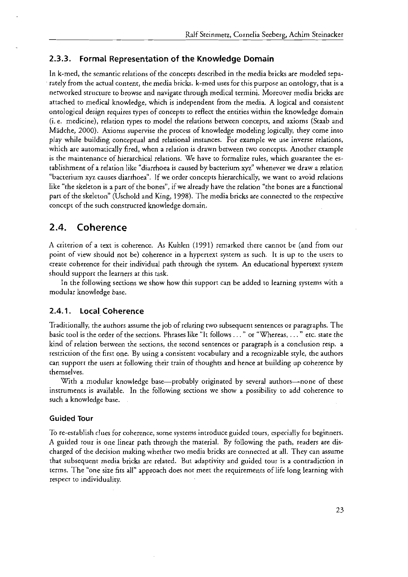## **2.3.3. Formal Representation of the Knowledge Domain**

In k-med, the semanric relations of the conceprs described in rhe media bricks are modekd separately from the actual content, the media bricks. k-med uses for this purpose an onrology, thar is a networked structure to browse and navigate through medical termini. Moreover media bricks are attached to medical knowledge, which is independent from the media. A logical and consistent ontological design requires types of conceprs ro reflect the entities within the knowkdge domain (i. e. medicine), relation rypes to model the relations berween conceprs, and axioms (Sraab and Mädche, 2000). Axioms supervise the process of knowledge modeling logically, rhey come inro play while building conceptual and relarional instances. For example we use inverse relarions, which are automatically fired, when a relation is drawn between two concepts. Another example is the maintenance of hierarchical relations. We have to formalize rules, which guarantee rhe establishment of a relation like "diarrhoea is caused by bacterium xyz" whenever we draw a relation "bacrerium *xyz* causes diarrhoea". If we order concepts hierarchically, we wanr to avoid relations like "the skeleron is apart of rhe bones", if we already have the relation "the bones are a functional parr of rhe skeleton" (Uschold and King, 1998). The media bricks are connected ro the respecrive concepr of the such consrructed knowledge domain.

## 2.4. **Coherence**

A criterion of a rext is coherence. As Kuhlen (1991) remarked rhere cannor be (and from our point of view should not be) coherence in a hyperrext sysrem as such. Ir is up to the users to creare coherence for rheir individual path through the system. An educational hyperrext system should support rhe learners at this rask.

In the following secrions we show how this supporr can be added ro learning sysrems with a modular knowledge base.

### **2.4.1. Local Coherence**

Traditionally, the authors assume the job of relaring two subsequent sentences or paragraphs. The basic tool is the order of the sections. Phrases like "lt follows . . . " or "Whereas, . . . " etc. srate the kind of relation between rhe sections, the second sentences or paragraph is a conclusion resp. a restriction of rhe firsr one. By using a consistenr vocabulary and a recognizable sryle, rhe authors can support the users at following rheir rrain of rhoughts and hence at building up coherence by rhernselves.

With a modular knowledge base-probably originated by several authors--none of these insrruments is available. In the following sections we show a possibiliry to add coherence ro such a knowledge base.

### **Guided Tour**

TO re-establish clues for coherence, some sysrems introduce guided tours, especially for beginnen. A guided rour is one linear parh through the material. By following the path, readers are discharged of the decision making whether two media bricks are connected ar all. They can assume rhar subsequenr media bricks are related. But adaptiviry and guided tour is a conrradiction in rerms. The "one size fits all" approach does nor meet the requirements of life long learning with respecr to individualiry.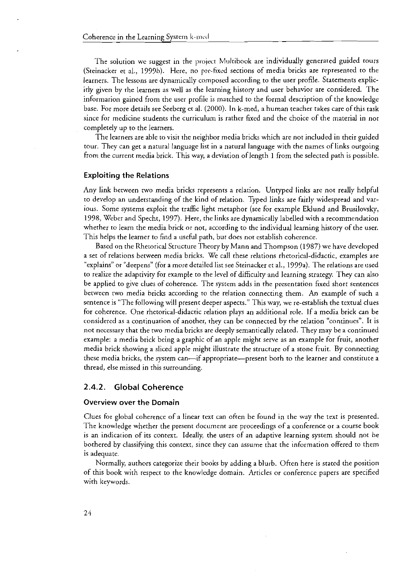The solution we suggest in the project Multibook are individually generated guided tours (Steinacker et al., 1999b). Here, no pre-fixed sections of media bricks are represented to the learners. The lessons are dynamically composed according to the user profile. Statements explicirly given by rhe learners as well as the learning history and User behavior are considered. The informarion gained from the user profile is matched to the formal description of the knowledge base. For more details see Seeberg er al. (2000). In k-med, a human teacher takes care of this rask since for medicine students rhe curriculum is rather fixed and the choice of the material in not completely up to the learners.

The learners are able to visir rhe neighbor media bricks which are not included in their guided tour. They can get a natural language list in **a** natural language with the names of links ourgoing from the current media brick. This way, a deviation of length 1 from the selected path is possible.

#### **Exploiting the Relations**

Any link between two media bricks represents a relation. Untyped links are not really helpful ro develop an understanding of the kind of relation. Typed links are fairly widespread and various. Some systems exploit the traffic light metaphor (see for example Eklund and Brusilovsky, 1998, Weber and Specht, 1997). Here, the links are dynamically labelled wich a recommendation whether to learn the media brick or not, according to the individual learning history of the user. This helps rhe learner to find a useful path, bur does not establish coherence.

Based on the Rherorical Structure Theory by Mann and Thompson (1987) we have developed a set of relations between media bricks. We call these relations rhetorical-didactic, examples are "explains" or "deepens" (for a more detailed list See Steinacker er al., 1999a). The relations are used to realize the adaprivicy for example to rhe level of difficulty and learning strategy. They can also be applied to give clues of coherence. The system adds in rhe presentation fixed shorr sentences between two media bricks according to the relation connecting them. An example of such a sentence is "The following will presenr deeper aspects." This way, we re-establish the textual clues for coherence. One rhetorical-didacric relation plays an additional role. If a media brick can be considered as a conrinuarion of another, rhey can be connected by the relation "continues". It is not necessary that the two media bricks are deeply semantically related. They may be a continued example: a media brick being a graphic of an apple might serve as an example for fruit, another media brick showing a sliced apple might illusrrate the strucrure of a stone fruit. By connecting these media bricks, the system can—if appropriate—present borh to the learner and constitute a thread, else missed in this surrounding.

### **2.4.2. Global Coherence**

#### **Overview over the Domain**

Clues for global coherence of a linear text can often be found in the way rhe text is presenred. The knowledge whether the present document are proceedings of a conference or a course book is an indication of its conrext. Ideally, the Users of an adaptive learning system should not be bothered by classifying this context, since they can assume that the information offered to them is adequate.

Normally, authors categorize their books by adding a blurb. Ofren here is stated the position of this book with respect to the knowledge domain. Articles or conference papers are specified wirh keywords.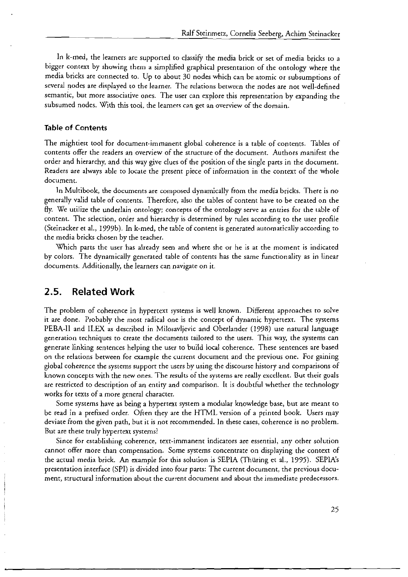In k-med, the learners are supported to classify the media brick or sec of media bricks ro a bigger context by showing them a simplified graphical presentation of the ontology where the media bricks are connected to. Up to about 30 nodes which can be atomic or subsumptions of severd nodes are displayed to the learner. The relations between the nodes are not well-defined semantic, but more associative ones. The user can explore this representation by expanding the subsumed nodes. With this tool, the learners can get an overview of the domain.

### **Table of Contents**

The mightiest tool for document-immanent global coherence is a table of contents. Tables of contents offer the readers an ovewiew of the srructure of the document. Authors manifest rhe order and hierarchy, and this way give clues of the position of the single parts in the document. Readers are always able to locate the present piece of information in the context of the whole document.

In Multibook, the documcnts are composed dynamically from the media bricks. There is no generally valid table of contents. Therefore, also the tables of content have to be created an rhe fly. We utilize the underlain ontology; concepts of the ontology servc as entries for ihe lable of content. The selection, order and hierarchy is determined by rules according to the user profile (Steinacker et al., 1999b). In k-med, the table of content is generated automatically according to the media bricks chosen by the teacher.

Which parts the user has already seen and where she or he is at the moment is indicated by colors. The dynamically generated table of contents has the Same functionality as in linear documents. Additionally, the learners can navigate on it.

## **2.5. Related Work**

**I** 

The problem of coherence in hypertext systems is well known. Different appoaches to solve it are done. Probably the rnost radical one is rhe concept of dynamic hypertext. The systems PEBA-II and ILEX as described in Milosavljevic and Oberlander (1998) use natural language generation techniques to create the documents tailored to the users. This way, the systems can generate linking sentences helping the user to build local coherence. These sentences are based an the relations between for example the current document and rhe previous one. For gaining global coherence the systems support the users by using the discourse history and comparisons of known concepts with the new ones. The results of the systems are really cxccllent. Bur cheir goals are restricted to description of an entiry and comparison. It is doubtful whether the technology works for texts of a more general character.

Some systems have as being a hypertext system a modular knowledge base, but are meant to be read in a prefixed order. Often they are the HTML version of a printed book. Users may dcviate from the given path, but ir is not recommended. In these cases, coherence is no problem. But are these truly hypertext systems?

Since for cstablishing coherence, text-immanent indicators are essential, any other solution cannot offer more than compensation. Some systems concentrate an displaying the context of the actual media brick. An example for this solution is SEPIA (Thuring er al., 1995). SEPIA'S presentation interface (SPI) is divided into four parts: The current document, rhe previous document, structural information about thc current document and about the immediate prcdecessors.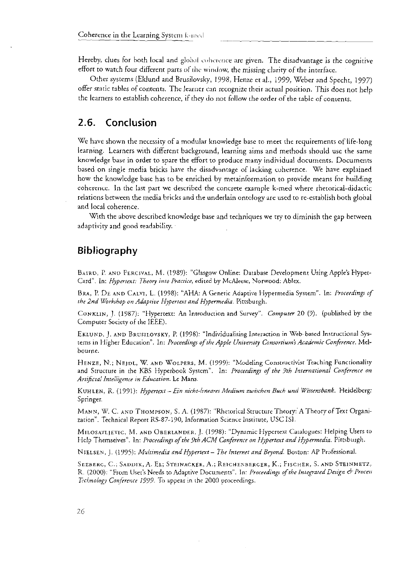Hereby, clues for both local and global coherence are given. The disadvantage is the cognitive effort to watch four different parts of the window, the missing clarity of the interface.

Other systems (Eklund and Brusilovsky, 1998, Henze et al., 1999, Weber and Specht, 1997) offer static tables of contents. The learner can recognize their actual position. This does not help the learners to establish coherence, if they do not follow the order of the table of contents.

#### Conclusion  $2.6.$

We have shown the necessity of a modular knowledge base to meet the requirements of life-long learning. Learners with different background, learning aims and methods should use the same knowledge base in order to spare the effort to produce many individual documents. Documents based on single media bricks have the disadvantage of lacking coherence. We have explained how the knowledge base has to be enriched by metainformation to provide means for building coherence. In the last part we described the concrete example k-med where rhetorical-didactic relations between the media bricks and the underlain ontology are used to re-establish both global and local coherence.

With the above described knowledge base and techniques we try to diminish the gap between adaptivity and good readability.

## Bibliography

BAIRD, P. AND PERCIVAL, M. (1989): "Glasgow Online: Database Development Using Apple's Hypet-Card". In: Hypertext: Theory into Practice, edited by McAleese, Norwood: Ablex.

BRA, P. DE AND CALVI, L. (1998): "AHA: A Generic Adaptive Hypermedia System". In: Proceedings of the 2nd Workshop on Adaptive Hypertext and Hypermedia. Pittsburgh.

CONKLIN, J. (1987): "Hypertext: An Introduction and Survey". Computer 20 (9). (published by the Computer Society of the IEEE).

EKLUND, J. AND BRUSILOVSKY, P. (1998): "Individualising Interaction in Web-based Instructional Systerns in Higher Education". In: Proceedings of the Apple University Consortium's Academic Conference. Melbourne.

HENZE, N.; NEJDL, W. AND WOLPERS, M. (1999): "Modeling Constructivist Teaching Functionality and Structure in the KBS Hyperbook System". In: Proceedings of the 9th International Conference on Artificial Intelligence in Education. Le Mans.

KUHLEN, R. (1991): Hypertext - Ein nicht-lineares Medium zwischen Buch und Wissensbank. Heidelberg: Springer.

MANN, W. C. AND THOMPSON, S. A. (1987): "Rhetorical Structure Theory: A Theory of Text Organization". Technical Report RS-87-190, Information Science Institute, USC ISI.

MILOSAVLJEVIC, M. AND OBERLANDER, J. (1998): "Dynamic Hypertext Catalogues: Helping Users to Help Themselves". In: *Proceedings of the 9th ACM Conference on Hypertext and Hypermedia*. Pittsburgh.

NIELSEN, J. (1995): Multimedia and Hypertext - The Internet and Beyond. Boston: AP Professional.

SEEBERG, C.; SADDIK, A. EL; STEINACKER, A.; REICHENBERGER, K.; FISCHER, S. AND STEINMETZ. R. (2000): "From User's Needs to Adaptive Documents". In: Proceedings of the Integrated Design & Process Technology Conference 1999. To appear in the 2000 proceedings.